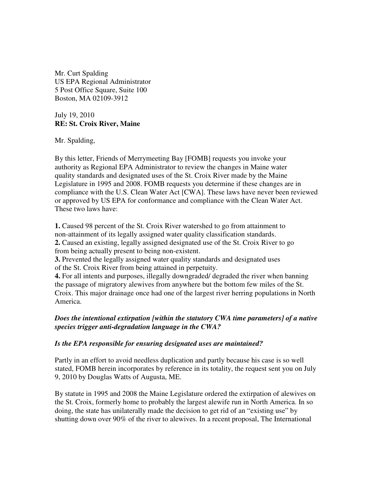Mr. Curt Spalding US EPA Regional Administrator 5 Post Office Square, Suite 100 Boston, MA 02109-3912

July 19, 2010 **RE: St. Croix River, Maine** 

Mr. Spalding,

By this letter, Friends of Merrymeeting Bay [FOMB] requests you invoke your authority as Regional EPA Administrator to review the changes in Maine water quality standards and designated uses of the St. Croix River made by the Maine Legislature in 1995 and 2008. FOMB requests you determine if these changes are in compliance with the U.S. Clean Water Act [CWA]. These laws have never been reviewed or approved by US EPA for conformance and compliance with the Clean Water Act. These two laws have:

**1.** Caused 98 percent of the St. Croix River watershed to go from attainment to non-attainment of its legally assigned water quality classification standards. **2.** Caused an existing, legally assigned designated use of the St. Croix River to go from being actually present to being non-existent.

**3.** Prevented the legally assigned water quality standards and designated uses of the St. Croix River from being attained in perpetuity.

**4.** For all intents and purposes, illegally downgraded/ degraded the river when banning the passage of migratory alewives from anywhere but the bottom few miles of the St. Croix. This major drainage once had one of the largest river herring populations in North America.

## *Does the intentional extirpation [within the statutory CWA time parameters] of a native species trigger anti-degradation language in the CWA?*

## *Is the EPA responsible for ensuring designated uses are maintained?*

Partly in an effort to avoid needless duplication and partly because his case is so well stated, FOMB herein incorporates by reference in its totality, the request sent you on July 9, 2010 by Douglas Watts of Augusta, ME.

By statute in 1995 and 2008 the Maine Legislature ordered the extirpation of alewives on the St. Croix, formerly home to probably the largest alewife run in North America. In so doing, the state has unilaterally made the decision to get rid of an "existing use" by shutting down over 90% of the river to alewives. In a recent proposal, The International